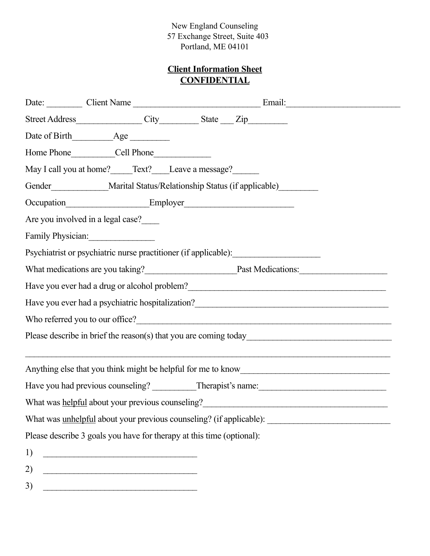# **Client Information Sheet CONFIDENTIAL**

|                                                                                                                                                                                                                                        | Street Address_______________City____________State ___Zip________________________                                                                                                                                                     |  |  |  |  |  |  |
|----------------------------------------------------------------------------------------------------------------------------------------------------------------------------------------------------------------------------------------|---------------------------------------------------------------------------------------------------------------------------------------------------------------------------------------------------------------------------------------|--|--|--|--|--|--|
|                                                                                                                                                                                                                                        |                                                                                                                                                                                                                                       |  |  |  |  |  |  |
|                                                                                                                                                                                                                                        |                                                                                                                                                                                                                                       |  |  |  |  |  |  |
|                                                                                                                                                                                                                                        | May I call you at home? Text? Leave a message?                                                                                                                                                                                        |  |  |  |  |  |  |
| Gender______________Marital Status/Relationship Status (if applicable)__________                                                                                                                                                       |                                                                                                                                                                                                                                       |  |  |  |  |  |  |
|                                                                                                                                                                                                                                        |                                                                                                                                                                                                                                       |  |  |  |  |  |  |
|                                                                                                                                                                                                                                        | Are you involved in a legal case?                                                                                                                                                                                                     |  |  |  |  |  |  |
| Family Physician:                                                                                                                                                                                                                      |                                                                                                                                                                                                                                       |  |  |  |  |  |  |
| Psychiatrist or psychiatric nurse practitioner (if applicable):                                                                                                                                                                        |                                                                                                                                                                                                                                       |  |  |  |  |  |  |
| What medications are you taking?<br>Past Medications:                                                                                                                                                                                  |                                                                                                                                                                                                                                       |  |  |  |  |  |  |
| Have you ever had a drug or alcohol problem?<br><u>Lateral and the set of the set of the set of the set of the set of the set of the set of the set of the set of the set of the set of the set of the set of the set of the set o</u> |                                                                                                                                                                                                                                       |  |  |  |  |  |  |
|                                                                                                                                                                                                                                        |                                                                                                                                                                                                                                       |  |  |  |  |  |  |
|                                                                                                                                                                                                                                        |                                                                                                                                                                                                                                       |  |  |  |  |  |  |
|                                                                                                                                                                                                                                        |                                                                                                                                                                                                                                       |  |  |  |  |  |  |
|                                                                                                                                                                                                                                        |                                                                                                                                                                                                                                       |  |  |  |  |  |  |
|                                                                                                                                                                                                                                        |                                                                                                                                                                                                                                       |  |  |  |  |  |  |
|                                                                                                                                                                                                                                        | What was helpful about your previous counseling?<br><u>Letting</u> 2.1 and 2.1 and 2.1 and 2.1 and 2.1 and 2.1 and 2.1 and 2.1 and 2.1 and 2.1 and 2.1 and 2.1 and 2.1 and 2.1 and 2.1 and 2.1 and 2.1 and 2.1 and 2.1 and 2.1 and 2. |  |  |  |  |  |  |
|                                                                                                                                                                                                                                        |                                                                                                                                                                                                                                       |  |  |  |  |  |  |
|                                                                                                                                                                                                                                        | Please describe 3 goals you have for therapy at this time (optional):                                                                                                                                                                 |  |  |  |  |  |  |
| 1)                                                                                                                                                                                                                                     |                                                                                                                                                                                                                                       |  |  |  |  |  |  |
| 2)                                                                                                                                                                                                                                     |                                                                                                                                                                                                                                       |  |  |  |  |  |  |

 $3)$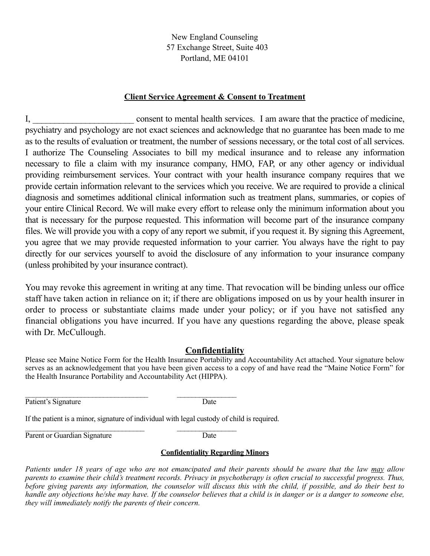#### **Client Service Agreement & Consent to Treatment**

I, consent to mental health services. I am aware that the practice of medicine, psychiatry and psychology are not exact sciences and acknowledge that no guarantee has been made to me as to the results of evaluation or treatment, the number of sessions necessary, or the total cost of all services. I authorize The Counseling Associates to bill my medical insurance and to release any information necessary to file a claim with my insurance company, HMO, FAP, or any other agency or individual providing reimbursement services. Your contract with your health insurance company requires that we provide certain information relevant to the services which you receive. We are required to provide a clinical diagnosis and sometimes additional clinical information such as treatment plans, summaries, or copies of your entire Clinical Record. We will make every effort to release only the minimum information about you that is necessary for the purpose requested. This information will become part of the insurance company files. We will provide you with a copy of any report we submit, if you request it. By signing this Agreement, you agree that we may provide requested information to your carrier. You always have the right to pay directly for our services yourself to avoid the disclosure of any information to your insurance company (unless prohibited by your insurance contract).

You may revoke this agreement in writing at any time. That revocation will be binding unless our office staff have taken action in reliance on it; if there are obligations imposed on us by your health insurer in order to process or substantiate claims made under your policy; or if you have not satisfied any financial obligations you have incurred. If you have any questions regarding the above, please speak with Dr. McCullough.

#### **Confidentiality**

Please see Maine Notice Form for the Health Insurance Portability and Accountability Act attached. Your signature below serves as an acknowledgement that you have been given access to a copy of and have read the "Maine Notice Form" for the Health Insurance Portability and Accountability Act (HIPPA).

Patient's Signature Date

 $\mathcal{L}_\text{max}$  and the contract of the contract of the contract of the contract of the contract of the contract of the contract of the contract of the contract of the contract of the contract of the contract of the contrac

If the patient is a minor, signature of individual with legal custody of child is required.

 $\mathcal{L}_\text{max}$  and the contract of the contract of the contract of the contract of the contract of the contract of the contract of the contract of the contract of the contract of the contract of the contract of the contrac Parent or Guardian Signature Date

#### **Confidentiality Regarding Minors**

*Patients under 18 years of age who are not emancipated and their parents should be aware that the law may allow parents to examine their child's treatment records. Privacy in psychotherapy is often crucial to successful progress. Thus, before giving parents any information, the counselor will discuss this with the child, if possible, and do their best to handle any objections he/she may have. If the counselor believes that a child is in danger or is a danger to someone else, they will immediately notify the parents of their concern.*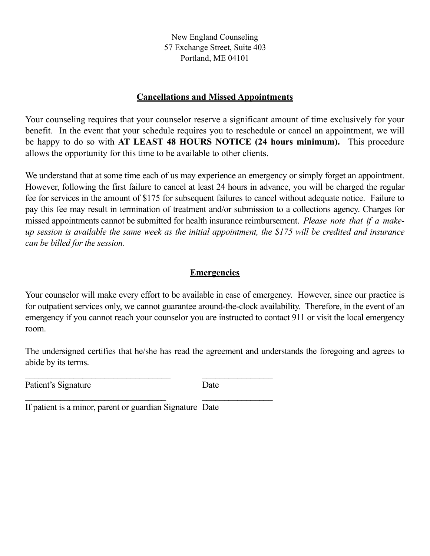#### **Cancellations and Missed Appointments**

Your counseling requires that your counselor reserve a significant amount of time exclusively for your benefit. In the event that your schedule requires you to reschedule or cancel an appointment, we will be happy to do so with **AT LEAST 48 HOURS NOTICE (24 hours minimum).** This procedure allows the opportunity for this time to be available to other clients.

We understand that at some time each of us may experience an emergency or simply forget an appointment. However, following the first failure to cancel at least 24 hours in advance, you will be charged the regular fee for services in the amount of \$175 for subsequent failures to cancel without adequate notice. Failure to pay this fee may result in termination of treatment and/or submission to a collections agency. Charges for missed appointments cannot be submitted for health insurance reimbursement. *Please note that if a makeup session is available the same week as the initial appointment, the \$175 will be credited and insurance can be billed for the session.* 

### **Emergencies**

Your counselor will make every effort to be available in case of emergency. However, since our practice is for outpatient services only, we cannot guarantee around-the-clock availability. Therefore, in the event of an emergency if you cannot reach your counselor you are instructed to contact 911 or visit the local emergency room.

The undersigned certifies that he/she has read the agreement and understands the foregoing and agrees to abide by its terms.

Patient's Signature Date

If patient is a minor, parent or guardian Signature Date

\_\_\_\_\_\_\_\_\_\_\_\_\_\_\_\_\_\_\_\_\_\_\_\_\_\_\_\_\_\_\_\_\_ \_\_\_\_\_\_\_\_\_\_\_\_\_\_\_\_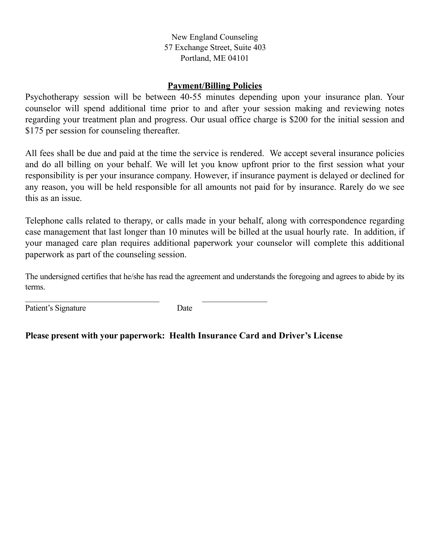#### **Payment/Billing Policies**

Psychotherapy session will be between 40-55 minutes depending upon your insurance plan. Your counselor will spend additional time prior to and after your session making and reviewing notes regarding your treatment plan and progress. Our usual office charge is \$200 for the initial session and \$175 per session for counseling thereafter.

All fees shall be due and paid at the time the service is rendered. We accept several insurance policies and do all billing on your behalf. We will let you know upfront prior to the first session what your responsibility is per your insurance company. However, if insurance payment is delayed or declined for any reason, you will be held responsible for all amounts not paid for by insurance. Rarely do we see this as an issue.

Telephone calls related to therapy, or calls made in your behalf, along with correspondence regarding case management that last longer than 10 minutes will be billed at the usual hourly rate. In addition, if your managed care plan requires additional paperwork your counselor will complete this additional paperwork as part of the counseling session.

The undersigned certifies that he/she has read the agreement and understands the foregoing and agrees to abide by its terms.

Patient's Signature Date

 $\mathcal{L}_\text{max}$  and the contract of the contract of the contract of the contract of the contract of the contract of the contract of the contract of the contract of the contract of the contract of the contract of the contrac

# **Please present with your paperwork: Health Insurance Card and Driver's License**